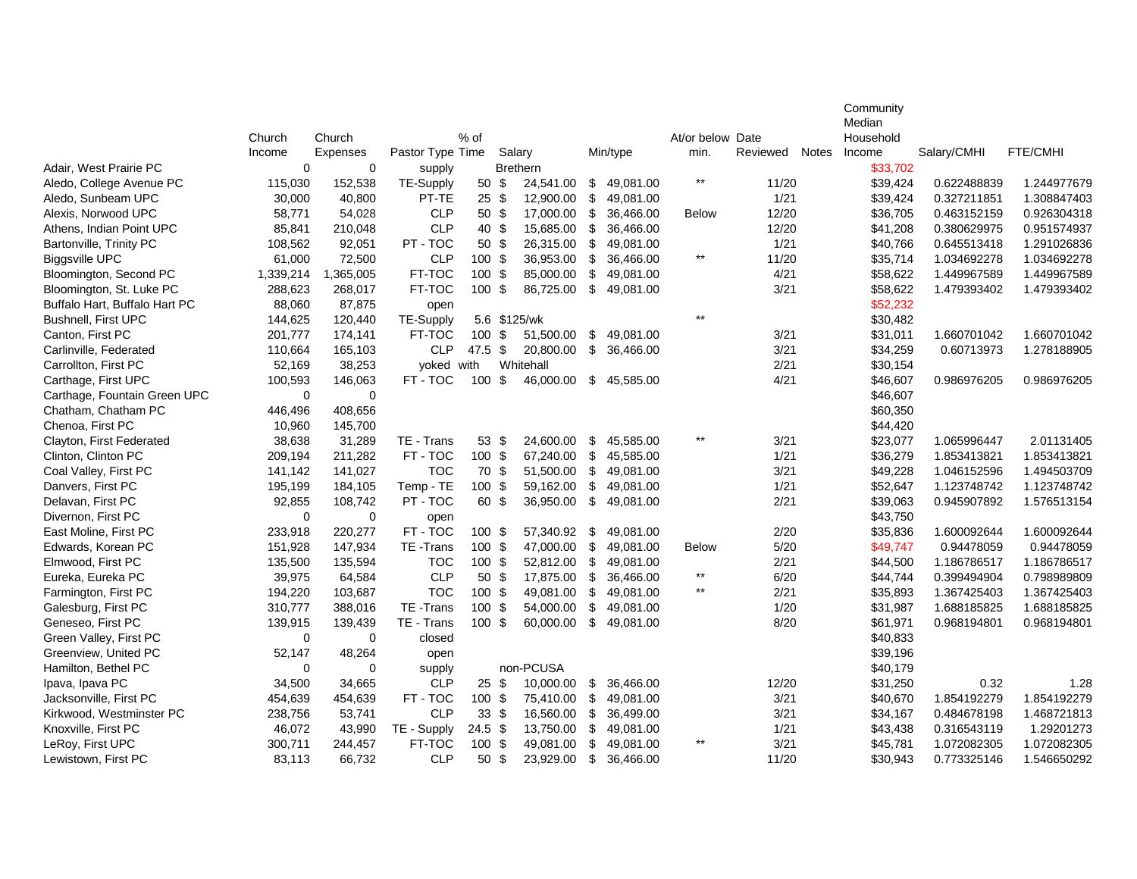|                               |             |             |                  |                 |                  |                 |                         |              |                  |          |              | Community |             |             |
|-------------------------------|-------------|-------------|------------------|-----------------|------------------|-----------------|-------------------------|--------------|------------------|----------|--------------|-----------|-------------|-------------|
|                               |             |             |                  |                 |                  |                 |                         |              |                  |          |              | Median    |             |             |
|                               | Church      | Church      |                  | % of            |                  |                 |                         |              | At/or below Date |          |              | Household |             |             |
|                               | Income      | Expenses    | Pastor Type Time |                 |                  | Salary          |                         | Min/type     | min.             | Reviewed | <b>Notes</b> | Income    | Salary/CMHI | FTE/CMHI    |
| Adair. West Prairie PC        | $\Omega$    | $\mathbf 0$ | supply           |                 |                  | <b>Brethern</b> |                         |              | $\star\star$     |          |              | \$33,702  |             |             |
| Aledo, College Avenue PC      | 115,030     | 152,538     | TE-Supply        | 50 \$           |                  | 24,541.00       |                         | \$49,081.00  |                  | 11/20    |              | \$39,424  | 0.622488839 | 1.244977679 |
| Aledo, Sunbeam UPC            | 30,000      | 40,800      | PT-TE            | $25 \text{ } $$ |                  | 12,900.00       | \$                      | 49,081.00    |                  | 1/21     |              | \$39,424  | 0.327211851 | 1.308847403 |
| Alexis, Norwood UPC           | 58,771      | 54,028      | <b>CLP</b>       |                 | 50 <sup>°</sup>  | 17,000.00       |                         | \$ 36,466.00 | <b>Below</b>     | 12/20    |              | \$36,705  | 0.463152159 | 0.926304318 |
| Athens, Indian Point UPC      | 85,841      | 210,048     | <b>CLP</b>       |                 | 40 \$            | 15,685.00       | \$                      | 36,466.00    |                  | 12/20    |              | \$41,208  | 0.380629975 | 0.951574937 |
| Bartonville, Trinity PC       | 108,562     | 92,051      | PT-TOC           | 50 \$           |                  | 26,315.00       | \$                      | 49,081.00    |                  | 1/21     |              | \$40,766  | 0.645513418 | 1.291026836 |
| <b>Biggsville UPC</b>         | 61,000      | 72,500      | <b>CLP</b>       | 100 \$          |                  | 36,953.00       | \$                      | 36,466.00    | $\star\star$     | 11/20    |              | \$35,714  | 1.034692278 | 1.034692278 |
| Bloomington, Second PC        | 1,339,214   | 1,365,005   | FT-TOC           | 100 \$          |                  | 85,000.00       | \$                      | 49,081.00    |                  | 4/21     |              | \$58,622  | 1.449967589 | 1.449967589 |
| Bloomington, St. Luke PC      | 288,623     | 268,017     | FT-TOC           | $100$ \$        |                  | 86,725.00       | \$                      | 49,081.00    |                  | 3/21     |              | \$58,622  | 1.479393402 | 1.479393402 |
| Buffalo Hart, Buffalo Hart PC | 88,060      | 87,875      | open             |                 |                  |                 |                         |              |                  |          |              | \$52,232  |             |             |
| Bushnell, First UPC           | 144,625     | 120,440     | TE-Supply        |                 |                  | 5.6 \$125/wk    |                         |              | $***$            |          |              | \$30,482  |             |             |
| Canton, First PC              | 201,777     | 174,141     | FT-TOC           | $100$ \$        |                  | 51,500.00       | \$                      | 49,081.00    |                  | 3/21     |              | \$31,011  | 1.660701042 | 1.660701042 |
| Carlinville, Federated        | 110,664     | 165,103     | <b>CLP</b>       | 47.5~\$         |                  | 20,800.00       | $\sqrt{3}$              | 36,466.00    |                  | 3/21     |              | \$34,259  | 0.60713973  | 1.278188905 |
| Carrollton, First PC          | 52,169      | 38,253      | voked with       |                 |                  | Whitehall       |                         |              |                  | 2/21     |              | \$30,154  |             |             |
| Carthage, First UPC           | 100,593     | 146,063     | FT - TOC         | $100$ \$        |                  | 46,000.00       |                         | \$45,585.00  |                  | 4/21     |              | \$46,607  | 0.986976205 | 0.986976205 |
| Carthage, Fountain Green UPC  | $\mathbf 0$ | $\mathbf 0$ |                  |                 |                  |                 |                         |              |                  |          |              | \$46,607  |             |             |
| Chatham, Chatham PC           | 446,496     | 408,656     |                  |                 |                  |                 |                         |              |                  |          |              | \$60,350  |             |             |
| Chenoa, First PC              | 10,960      | 145,700     |                  |                 |                  |                 |                         |              |                  |          |              | \$44,420  |             |             |
| Clayton, First Federated      | 38,638      | 31,289      | TE - Trans       |                 | $53 \text{ }$ \$ | 24,600.00       | \$                      | 45,585.00    | $^{\star\star}$  | 3/21     |              | \$23,077  | 1.065996447 | 2.01131405  |
| Clinton, Clinton PC           | 209,194     | 211,282     | FT-TOC           | 100 \$          |                  | 67,240.00       | \$                      | 45,585.00    |                  | 1/21     |              | \$36,279  | 1.853413821 | 1.853413821 |
| Coal Valley, First PC         | 141,142     | 141,027     | <b>TOC</b>       | 70 \$           |                  | 51,500.00       |                         | \$49,081.00  |                  | 3/21     |              | \$49,228  | 1.046152596 | 1.494503709 |
| Danvers, First PC             | 195,199     | 184,105     | Temp - TE        | 100 \$          |                  | 59,162.00       | \$                      | 49,081.00    |                  | 1/21     |              | \$52,647  | 1.123748742 | 1.123748742 |
| Delavan, First PC             | 92,855      | 108,742     | PT-TOC           | 60 \$           |                  | 36,950.00       | \$                      | 49,081.00    |                  | 2/21     |              | \$39,063  | 0.945907892 | 1.576513154 |
| Divernon, First PC            | $\Omega$    | $\mathbf 0$ | open             |                 |                  |                 |                         |              |                  |          |              | \$43,750  |             |             |
| East Moline, First PC         | 233,918     | 220,277     | FT-TOC           | 100 \$          |                  | 57,340.92       | \$                      | 49,081.00    |                  | 2/20     |              | \$35,836  | 1.600092644 | 1.600092644 |
| Edwards, Korean PC            | 151,928     | 147,934     | TE-Trans         | 100 \$          |                  | 47,000.00       | $\sqrt[6]{3}$           | 49,081.00    | <b>Below</b>     | 5/20     |              | \$49,747  | 0.94478059  | 0.94478059  |
| Elmwood, First PC             | 135,500     | 135,594     | <b>TOC</b>       | 100 \$          |                  | 52,812.00       | \$                      | 49,081.00    |                  | 2/21     |              | \$44,500  | 1.186786517 | 1.186786517 |
| Eureka, Eureka PC             | 39,975      | 64,584      | <b>CLP</b>       | 50 <sup>°</sup> |                  | 17,875.00       | \$                      | 36,466.00    | $\star\star$     | 6/20     |              | \$44,744  | 0.399494904 | 0.798989809 |
| Farmington, First PC          | 194,220     | 103,687     | <b>TOC</b>       | 100 \$          |                  | 49,081.00       | \$                      | 49,081.00    | $\star\star$     | 2/21     |              | \$35,893  | 1.367425403 | 1.367425403 |
| Galesburg, First PC           | 310,777     | 388,016     | TE-Trans         | 100 \$          |                  | 54,000.00       | $\sqrt[6]{\frac{1}{2}}$ | 49,081.00    |                  | 1/20     |              | \$31,987  | 1.688185825 | 1.688185825 |
| Geneseo, First PC             | 139,915     | 139,439     | TE - Trans       | 100S            |                  | 60,000.00       |                         | \$49,081.00  |                  | 8/20     |              | \$61,971  | 0.968194801 | 0.968194801 |
| Green Valley, First PC        | $\mathbf 0$ | 0           | closed           |                 |                  |                 |                         |              |                  |          |              | \$40,833  |             |             |
| Greenview, United PC          | 52,147      | 48,264      | open             |                 |                  |                 |                         |              |                  |          |              | \$39,196  |             |             |
| Hamilton, Bethel PC           | $\Omega$    | $\Omega$    | supply           |                 |                  | non-PCUSA       |                         |              |                  |          |              | \$40,179  |             |             |
| Ipava, Ipava PC               | 34,500      | 34,665      | <b>CLP</b>       |                 | $25$ \$          | 10,000.00       | \$                      | 36,466.00    |                  | 12/20    |              | \$31,250  | 0.32        | 1.28        |
| Jacksonville, First PC        | 454,639     | 454,639     | FT-TOC           | 100S            |                  | 75,410.00       |                         | \$49,081.00  |                  | 3/21     |              | \$40,670  | 1.854192279 | 1.854192279 |
| Kirkwood, Westminster PC      | 238,756     | 53,741      | <b>CLP</b>       | $33 \text{ } $$ |                  | 16,560.00       | \$                      | 36,499.00    |                  | 3/21     |              | \$34,167  | 0.484678198 | 1.468721813 |
| Knoxville, First PC           | 46,072      | 43,990      | TE - Supply      | $24.5$ \$       |                  | 13,750.00       | \$                      | 49,081.00    |                  | 1/21     |              | \$43,438  | 0.316543119 | 1.29201273  |
| LeRoy, First UPC              | 300,711     | 244,457     | FT-TOC           | 100 \$          |                  | 49,081.00       | \$                      | 49,081.00    | $\star\star$     | 3/21     |              | \$45,781  | 1.072082305 | 1.072082305 |
| Lewistown, First PC           | 83,113      | 66,732      | <b>CLP</b>       | 50 \$           |                  | 23,929.00       | \$                      | 36,466.00    |                  | 11/20    |              | \$30,943  | 0.773325146 | 1.546650292 |
|                               |             |             |                  |                 |                  |                 |                         |              |                  |          |              |           |             |             |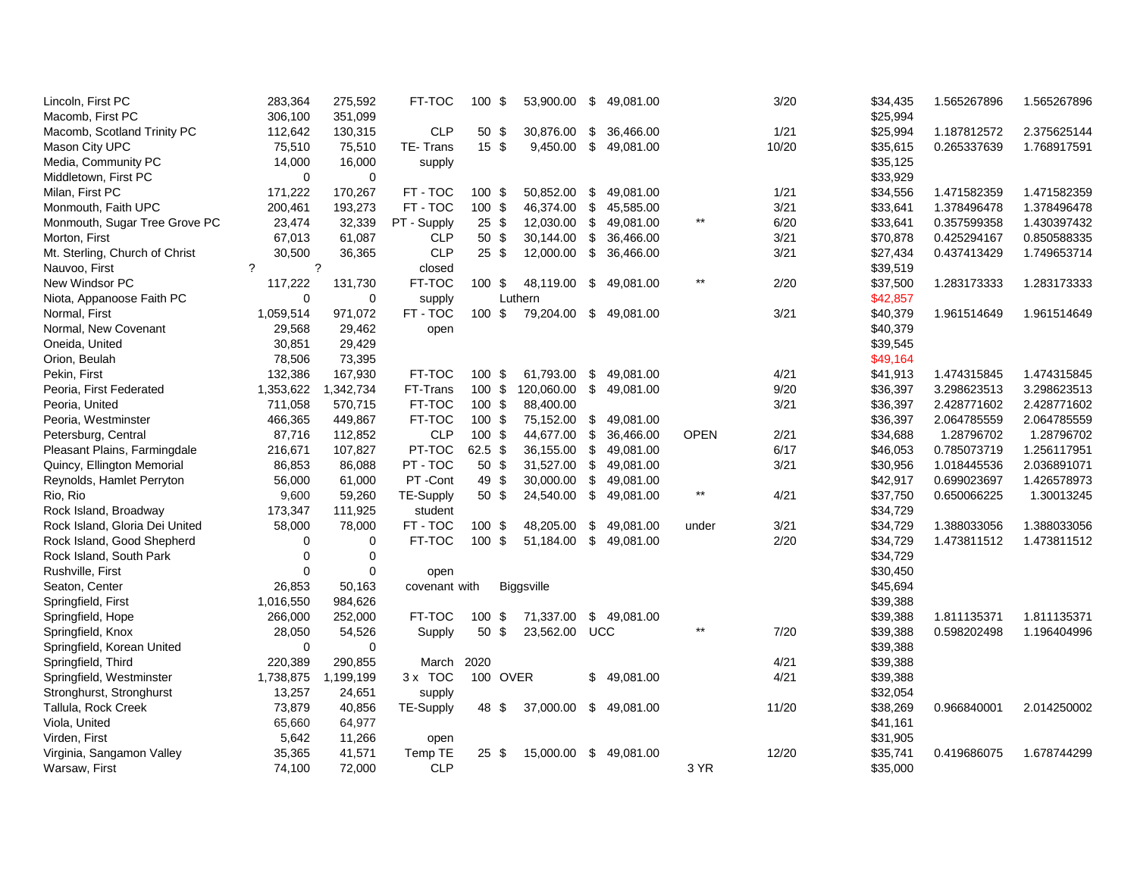| Lincoln, First PC              | 283,364        | 275,592        | FT-TOC           | 100 \$           | 53,900.00     | \$<br>49,081.00        |                 | 3/20  | \$34,435 | 1.565267896 | 1.565267896 |
|--------------------------------|----------------|----------------|------------------|------------------|---------------|------------------------|-----------------|-------|----------|-------------|-------------|
| Macomb, First PC               | 306,100        | 351,099        |                  |                  |               |                        |                 |       | \$25,994 |             |             |
| Macomb, Scotland Trinity PC    | 112,642        | 130,315        | <b>CLP</b>       | 50 \$            | 30,876.00     | \$<br>36,466.00        |                 | 1/21  | \$25,994 | 1.187812572 | 2.375625144 |
| Mason City UPC                 | 75,510         | 75,510         | TE-Trans         | $15 \text{ }$ \$ | 9,450.00      | \$<br>49,081.00        |                 | 10/20 | \$35,615 | 0.265337639 | 1.768917591 |
| Media, Community PC            | 14,000         | 16,000         | supply           |                  |               |                        |                 |       | \$35,125 |             |             |
| Middletown, First PC           | $\Omega$       | $\mathbf 0$    |                  |                  |               |                        |                 |       | \$33,929 |             |             |
| Milan, First PC                | 171,222        | 170,267        | FT-TOC           | 100 \$           | 50,852.00     | \$<br>49,081.00        |                 | 1/21  | \$34,556 | 1.471582359 | 1.471582359 |
| Monmouth, Faith UPC            | 200,461        | 193,273        | FT-TOC           | 100 \$           | 46,374.00     | \$<br>45,585.00        |                 | 3/21  | \$33,641 | 1.378496478 | 1.378496478 |
| Monmouth, Sugar Tree Grove PC  | 23,474         | 32,339         | PT - Supply      | 25S              | 12,030.00 \$  | 49,081.00              | $\star\star$    | 6/20  | \$33,641 | 0.357599358 | 1.430397432 |
| Morton, First                  | 67,013         | 61,087         | <b>CLP</b>       | 50 \$            | 30,144.00     | \$<br>36,466.00        |                 | 3/21  | \$70,878 | 0.425294167 | 0.850588335 |
| Mt. Sterling, Church of Christ | 30.500         | 36,365         | <b>CLP</b>       | 25S              | 12,000.00     | \$<br>36,466.00        |                 | 3/21  | \$27,434 | 0.437413429 | 1.749653714 |
| Nauvoo, First                  | $\overline{?}$ | $\overline{?}$ | closed           |                  |               |                        |                 |       | \$39,519 |             |             |
| New Windsor PC                 | 117,222        | 131,730        | FT-TOC           | 100S             | 48,119.00 \$  | 49,081.00              | $\star\star$    | 2/20  | \$37,500 | 1.283173333 | 1.283173333 |
| Niota, Appanoose Faith PC      | $\Omega$       | $\mathbf 0$    | supply           |                  | Luthern       |                        |                 |       | \$42,857 |             |             |
| Normal, First                  | 1,059,514      | 971,072        | FT-TOC           | 100S             |               | 79,204.00 \$ 49,081.00 |                 | 3/21  | \$40,379 | 1.961514649 | 1.961514649 |
| Normal, New Covenant           | 29,568         | 29,462         | open             |                  |               |                        |                 |       | \$40,379 |             |             |
| Oneida, United                 | 30,851         | 29,429         |                  |                  |               |                        |                 |       | \$39,545 |             |             |
| Orion, Beulah                  | 78,506         | 73,395         |                  |                  |               |                        |                 |       | \$49,164 |             |             |
| Pekin, First                   | 132,386        | 167,930        | FT-TOC           | 100 \$           | 61,793.00     | \$<br>49.081.00        |                 | 4/21  | \$41,913 | 1.474315845 | 1.474315845 |
| Peoria, First Federated        | 1,353,622      | 1,342,734      | FT-Trans         | 100S             | 120,060.00    | \$<br>49,081.00        |                 | 9/20  | \$36,397 | 3.298623513 | 3.298623513 |
| Peoria, United                 | 711,058        | 570,715        | FT-TOC           | 100 \$           | 88,400.00     |                        |                 | 3/21  | \$36,397 | 2.428771602 | 2.428771602 |
| Peoria, Westminster            | 466,365        | 449,867        | FT-TOC           | 100 \$           | 75,152.00     | \$<br>49,081.00        |                 |       | \$36,397 | 2.064785559 | 2.064785559 |
| Petersburg, Central            | 87,716         | 112,852        | <b>CLP</b>       | 100 \$           | 44,677.00 \$  | 36,466.00              | <b>OPEN</b>     | 2/21  | \$34,688 | 1.28796702  | 1.28796702  |
| Pleasant Plains, Farmingdale   | 216,671        | 107,827        | PT-TOC           | 62.5 \$          | 36,155.00 \$  | 49,081.00              |                 | 6/17  | \$46,053 | 0.785073719 | 1.256117951 |
| Quincy, Ellington Memorial     | 86,853         | 86,088         | PT-TOC           | 50 \$            | 31,527.00 \$  | 49,081.00              |                 | 3/21  | \$30,956 | 1.018445536 | 2.036891071 |
| Reynolds, Hamlet Perryton      | 56,000         | 61,000         | PT-Cont          | 49 \$            | 30,000.00 \$  | 49,081.00              |                 |       | \$42,917 | 0.699023697 | 1.426578973 |
| Rio, Rio                       | 9,600          | 59,260         | <b>TE-Supply</b> | 50 \$            | 24,540.00 \$  | 49,081.00              | $\star\star$    | 4/21  | \$37,750 | 0.650066225 | 1.30013245  |
| Rock Island, Broadway          | 173,347        | 111,925        | student          |                  |               |                        |                 |       | \$34,729 |             |             |
| Rock Island, Gloria Dei United | 58,000         | 78,000         | FT-TOC           | 100 \$           | 48,205.00     | \$<br>49,081.00        | under           | 3/21  | \$34,729 | 1.388033056 | 1.388033056 |
| Rock Island, Good Shepherd     | $\mathbf 0$    | 0              | FT-TOC           | 100 \$           | 51,184.00 \$  | 49,081.00              |                 | 2/20  | \$34,729 | 1.473811512 | 1.473811512 |
| Rock Island, South Park        | $\mathbf 0$    | 0              |                  |                  |               |                        |                 |       | \$34,729 |             |             |
| Rushville, First               | $\Omega$       | $\mathbf 0$    | open             |                  |               |                        |                 |       | \$30,450 |             |             |
| Seaton, Center                 | 26,853         | 50,163         | covenant with    |                  | Biggsville    |                        |                 |       | \$45,694 |             |             |
| Springfield, First             | 1,016,550      | 984,626        |                  |                  |               |                        |                 |       | \$39,388 |             |             |
| Springfield, Hope              | 266,000        | 252,000        | FT-TOC           | 100 \$           | 71,337.00     | \$49,081.00            |                 |       | \$39,388 | 1.811135371 | 1.811135371 |
| Springfield, Knox              | 28,050         | 54,526         | Supply           | 50 <sup>°</sup>  | 23,562.00 UCC |                        | $^{\star\star}$ | 7/20  | \$39,388 | 0.598202498 | 1.196404996 |
| Springfield, Korean United     | $\Omega$       | $\mathbf 0$    |                  |                  |               |                        |                 |       | \$39,388 |             |             |
| Springfield, Third             | 220,389        | 290,855        | March            | 2020             |               |                        |                 | 4/21  | \$39,388 |             |             |
| Springfield, Westminster       | 1,738,875      | 1,199,199      | 3 x TOC          | 100 OVER         |               | \$<br>49,081.00        |                 | 4/21  | \$39,388 |             |             |
| Stronghurst, Stronghurst       | 13,257         | 24,651         | supply           |                  |               |                        |                 |       | \$32,054 |             |             |
| Tallula, Rock Creek            | 73,879         | 40,856         | TE-Supply        | 48 \$            | 37,000.00     | \$49,081.00            |                 | 11/20 | \$38,269 | 0.966840001 | 2.014250002 |
| Viola, United                  | 65,660         | 64,977         |                  |                  |               |                        |                 |       | \$41,161 |             |             |
| Virden, First                  | 5,642          | 11,266         | open             |                  |               |                        |                 |       | \$31,905 |             |             |
| Virginia, Sangamon Valley      | 35,365         | 41,571         | Temp TE          | 25S              | 15,000.00     | \$<br>49,081.00        |                 | 12/20 | \$35,741 | 0.419686075 | 1.678744299 |
| Warsaw, First                  | 74,100         | 72,000         | <b>CLP</b>       |                  |               |                        | 3 YR            |       | \$35,000 |             |             |